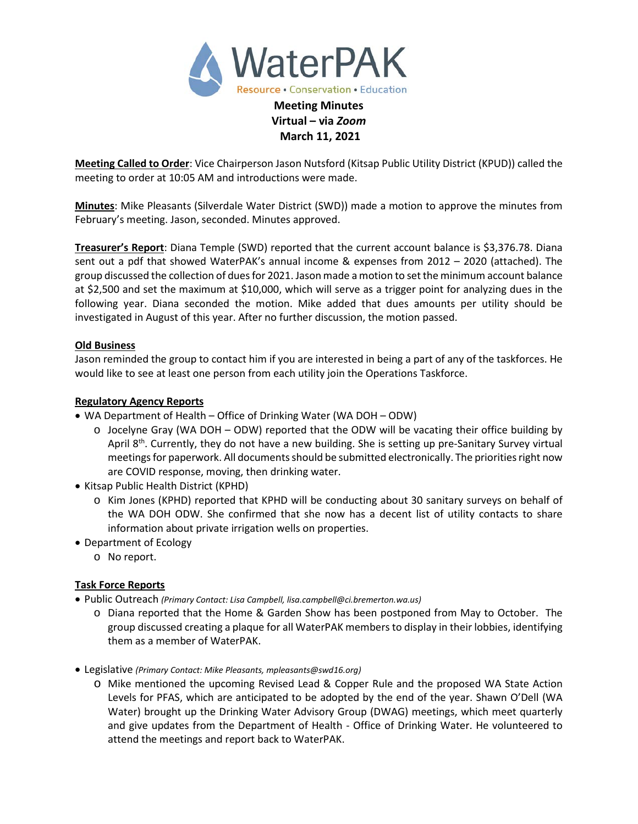

**March 11, 2021 Meeting Called to Order**: Vice Chairperson Jason Nutsford (Kitsap Public Utility District (KPUD)) called the

meeting to order at 10:05 AM and introductions were made.

**Minutes**: Mike Pleasants (Silverdale Water District (SWD)) made a motion to approve the minutes from February's meeting. Jason, seconded. Minutes approved.

**Treasurer's Report**: Diana Temple (SWD) reported that the current account balance is \$3,376.78. Diana sent out a pdf that showed WaterPAK's annual income & expenses from 2012 – 2020 (attached). The group discussed the collection of dues for 2021. Jason made a motion to set the minimum account balance at \$2,500 and set the maximum at \$10,000, which will serve as a trigger point for analyzing dues in the following year. Diana seconded the motion. Mike added that dues amounts per utility should be investigated in August of this year. After no further discussion, the motion passed.

## **Old Business**

Jason reminded the group to contact him if you are interested in being a part of any of the taskforces. He would like to see at least one person from each utility join the Operations Taskforce.

### **Regulatory Agency Reports**

- WA Department of Health Office of Drinking Water (WA DOH ODW)
	- $\circ$  Jocelyne Gray (WA DOH ODW) reported that the ODW will be vacating their office building by April 8<sup>th</sup>. Currently, they do not have a new building. She is setting up pre-Sanitary Survey virtual meetings for paperwork. All documents should be submitted electronically. The priorities right now are COVID response, moving, then drinking water.
- Kitsap Public Health District (KPHD)
	- o Kim Jones (KPHD) reported that KPHD will be conducting about 30 sanitary surveys on behalf of the WA DOH ODW. She confirmed that she now has a decent list of utility contacts to share information about private irrigation wells on properties.
- Department of Ecology
	- o No report.

### **Task Force Reports**

- Public Outreach *(Primary Contact: Lisa Campbell, lisa.campbell@ci.bremerton.wa.us)*
	- o Diana reported that the Home & Garden Show has been postponed from May to October. The group discussed creating a plaque for all WaterPAK members to display in their lobbies, identifying them as a member of WaterPAK.
- Legislative *(Primary Contact: Mike Pleasants, mpleasants@swd16.org)*
	- o Mike mentioned the upcoming Revised Lead & Copper Rule and the proposed WA State Action Levels for PFAS, which are anticipated to be adopted by the end of the year. Shawn O'Dell (WA Water) brought up the Drinking Water Advisory Group (DWAG) meetings, which meet quarterly and give updates from the Department of Health - Office of Drinking Water. He volunteered to attend the meetings and report back to WaterPAK.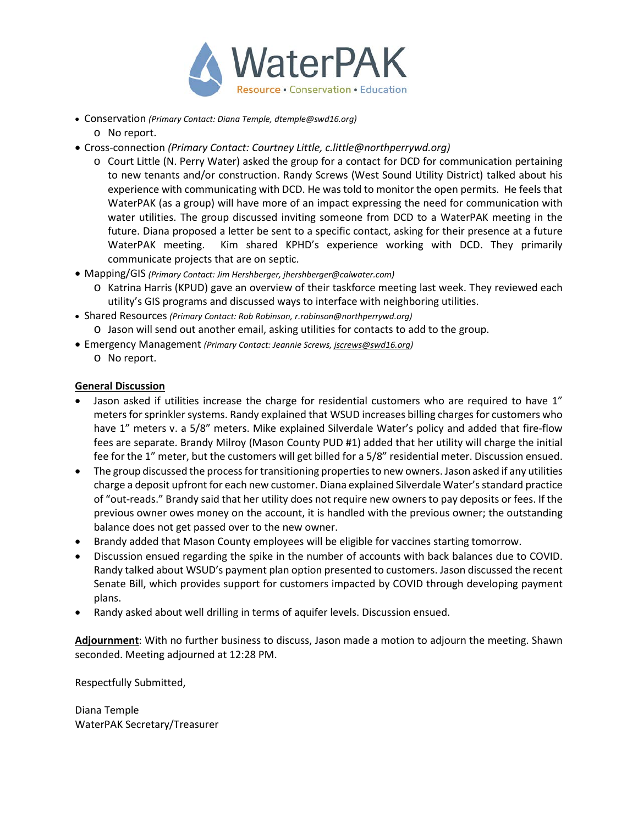

- Conservation *(Primary Contact: Diana Temple[, dtemple@swd16.org\)](mailto:dtemple@swd16.org)*
	- o No report.
- Cross-connection *(Primary Contact: Courtney Little, [c.little@northperrywd.org\)](mailto:c.little@northperrywd.org)*
	- o Court Little (N. Perry Water) asked the group for a contact for DCD for communication pertaining to new tenants and/or construction. Randy Screws (West Sound Utility District) talked about his experience with communicating with DCD. He was told to monitor the open permits. He feels that WaterPAK (as a group) will have more of an impact expressing the need for communication with water utilities. The group discussed inviting someone from DCD to a WaterPAK meeting in the future. Diana proposed a letter be sent to a specific contact, asking for their presence at a future WaterPAK meeting. Kim shared KPHD's experience working with DCD. They primarily communicate projects that are on septic.
- Mapping/GIS *(Primary Contact: Jim Hershberger, jhershberger@calwater.com)*
	- o Katrina Harris (KPUD) gave an overview of their taskforce meeting last week. They reviewed each utility's GIS programs and discussed ways to interface with neighboring utilities.
- Shared Resources *(Primary Contact: Rob Robinson, r.robinson@northperrywd.org)* o Jason will send out another email, asking utilities for contacts to add to the group.
- Emergency Management *(Primary Contact: Jeannie Screws[, jscrews@swd16.org\)](mailto:jscrews@swd16.org)* o No report.

### **General Discussion**

- Jason asked if utilities increase the charge for residential customers who are required to have 1" meters for sprinkler systems. Randy explained that WSUD increases billing charges for customers who have 1" meters v. a 5/8" meters. Mike explained Silverdale Water's policy and added that fire-flow fees are separate. Brandy Milroy (Mason County PUD #1) added that her utility will charge the initial fee for the 1" meter, but the customers will get billed for a 5/8" residential meter. Discussion ensued.
- The group discussed the process for transitioning properties to new owners. Jason asked if any utilities charge a deposit upfront for each new customer. Diana explained Silverdale Water's standard practice of "out-reads." Brandy said that her utility does not require new owners to pay deposits or fees. If the previous owner owes money on the account, it is handled with the previous owner; the outstanding balance does not get passed over to the new owner.
- Brandy added that Mason County employees will be eligible for vaccines starting tomorrow.
- Discussion ensued regarding the spike in the number of accounts with back balances due to COVID. Randy talked about WSUD's payment plan option presented to customers. Jason discussed the recent Senate Bill, which provides support for customers impacted by COVID through developing payment plans.
- Randy asked about well drilling in terms of aquifer levels. Discussion ensued.

**Adjournment**: With no further business to discuss, Jason made a motion to adjourn the meeting. Shawn seconded. Meeting adjourned at 12:28 PM.

Respectfully Submitted,

Diana Temple WaterPAK Secretary/Treasurer